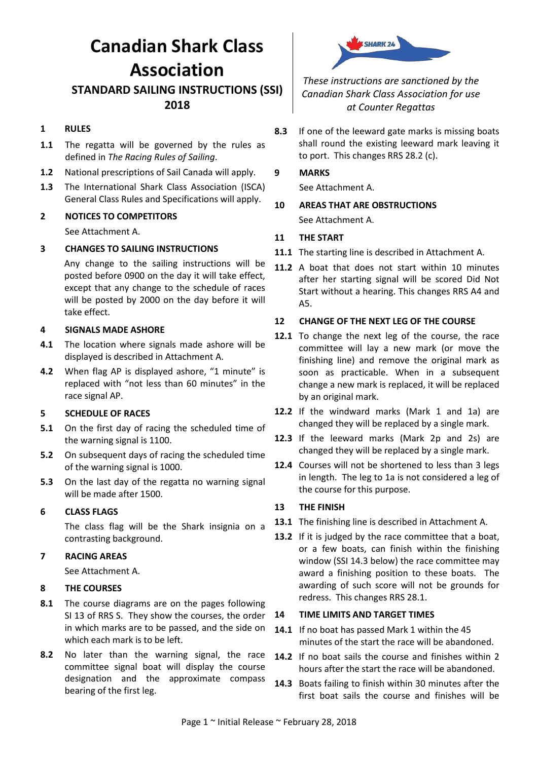# **Canadian Shark Class Association**

### **STANDARD SAILING INSTRUCTIONS (SSI) 2018**

#### **1 RULES**

- **1.1** The regatta will be governed by the rules as defined in *The Racing Rules of Sailing*.
- **1.2** National prescriptions of Sail Canada will apply.
- **1.3** The International Shark Class Association (ISCA) General Class Rules and Specifications will apply.

#### **2 NOTICES TO COMPETITORS**

See Attachment A.

#### **3 CHANGES TO SAILING INSTRUCTIONS**

Any change to the sailing instructions will be posted before 0900 on the day it will take effect, except that any change to the schedule of races will be posted by 2000 on the day before it will take effect.

#### **4 SIGNALS MADE ASHORE**

- **4.1** The location where signals made ashore will be displayed is described in Attachment A.
- **4.2** When flag AP is displayed ashore, "1 minute" is replaced with "not less than 60 minutes" in the race signal AP.

#### **5 SCHEDULE OF RACES**

- **5.1** On the first day of racing the scheduled time of the warning signal is 1100.
- **5.2** On subsequent days of racing the scheduled time of the warning signal is 1000.
- **5.3** On the last day of the regatta no warning signal will be made after 1500.

#### **6 CLASS FLAGS**

The class flag will be the Shark insignia on a contrasting background.

#### **7 RACING AREAS**

See Attachment A.

#### **8 THE COURSES**

- **8.1** The course diagrams are on the pages following SI 13 of RRS S. They show the courses, the order in which marks are to be passed, and the side on which each mark is to be left.
- **8.2** No later than the warning signal, the race committee signal boat will display the course designation and the approximate compass bearing of the first leg.



*These instructions are sanctioned by the Canadian Shark Class Association for use at Counter Regattas*

**8.3** If one of the leeward gate marks is missing boats shall round the existing leeward mark leaving it to port. This changes RRS 28.2 (c).

#### **9 MARKS**

See Attachment A.

**10 AREAS THAT ARE OBSTRUCTIONS** See Attachment A.

#### **11 THE START**

- **11.1** The starting line is described in Attachment A.
- **11.2** A boat that does not start within 10 minutes after her starting signal will be scored Did Not Start without a hearing. This changes RRS A4 and A5.

#### **12 CHANGE OF THE NEXT LEG OF THE COURSE**

- **12.1** To change the next leg of the course, the race committee will lay a new mark (or move the finishing line) and remove the original mark as soon as practicable. When in a subsequent change a new mark is replaced, it will be replaced by an original mark.
- **12.2** If the windward marks (Mark 1 and 1a) are changed they will be replaced by a single mark.
- **12.3** If the leeward marks (Mark 2p and 2s) are changed they will be replaced by a single mark.
- **12.4** Courses will not be shortened to less than 3 legs in length. The leg to 1a is not considered a leg of the course for this purpose.

#### **13 THE FINISH**

- **13.1** The finishing line is described in Attachment A.
- **13.2** If it is judged by the race committee that a boat, or a few boats, can finish within the finishing window (SSI [14.3](#page-0-0) below) the race committee may award a finishing position to these boats. The awarding of such score will not be grounds for redress. This changes RRS 28.1.

#### **14 TIME LIMITS AND TARGET TIMES**

- **14.1** If no boat has passed Mark 1 within the 45 minutes of the start the race will be abandoned.
- **14.2** If no boat sails the course and finishes within 2 hours after the start the race will be abandoned.
- <span id="page-0-0"></span>**14.3** Boats failing to finish within 30 minutes after the first boat sails the course and finishes will be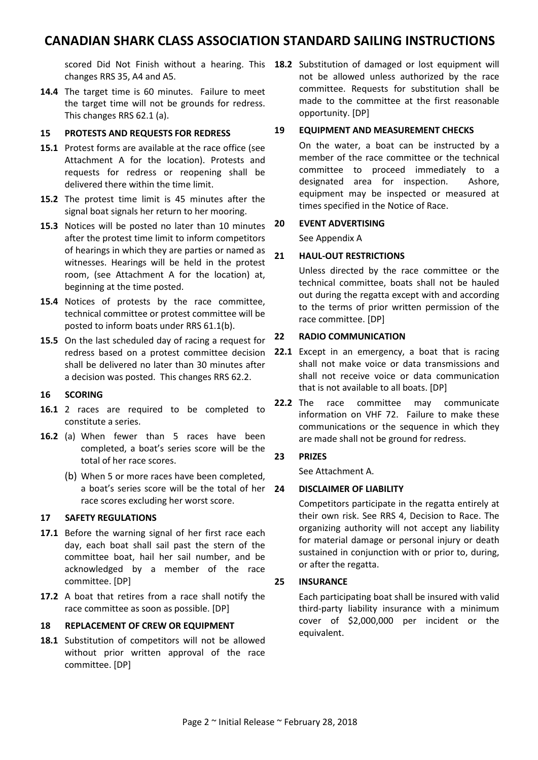## **CANADIAN SHARK CLASS ASSOCIATION STANDARD SAILING INSTRUCTIONS**

changes RRS 35, A4 and A5.

**14.4** The target time is 60 minutes. Failure to meet the target time will not be grounds for redress. This changes RRS 62.1 (a).

#### **15 PROTESTS AND REQUESTS FOR REDRESS**

- **15.1** Protest forms are available at the race office (see Attachment A for the location). Protests and requests for redress or reopening shall be delivered there within the time limit.
- **15.2** The protest time limit is 45 minutes after the signal boat signals her return to her mooring.
- **15.3** Notices will be posted no later than 10 minutes after the protest time limit to inform competitors of hearings in which they are parties or named as witnesses. Hearings will be held in the protest room, (see Attachment A for the location) at, beginning at the time posted.
- **15.4** Notices of protests by the race committee, technical committee or protest committee will be posted to inform boats under RRS 61.1(b).
- **15.5** On the last scheduled day of racing a request for redress based on a protest committee decision shall be delivered no later than 30 minutes after a decision was posted. This changes RRS 62.2.

#### **16 SCORING**

- **16.1** 2 races are required to be completed to constitute a series.
- **16.2** (a) When fewer than 5 races have been completed, a boat's series score will be the total of her race scores.
	- (b) When 5 or more races have been completed, a boat's series score will be the total of her 24 race scores excluding her worst score.

#### **17 SAFETY REGULATIONS**

- 17.1 Before the warning signal of her first race each day, each boat shall sail past the stern of the committee boat, hail her sail number, and be acknowledged by a member of the race committee. [DP]
- **17.2** A boat that retires from a race shall notify the race committee as soon as possible. [DP]

#### **18 REPLACEMENT OF CREW OR EQUIPMENT**

**18.1** Substitution of competitors will not be allowed without prior written approval of the race committee. [DP]

scored Did Not Finish without a hearing. This **18.2** Substitution of damaged or lost equipment will not be allowed unless authorized by the race committee. Requests for substitution shall be made to the committee at the first reasonable opportunity. [DP]

#### **19 EQUIPMENT AND MEASUREMENT CHECKS**

On the water, a boat can be instructed by a member of the race committee or the technical committee to proceed immediately to a designated area for inspection. Ashore, equipment may be inspected or measured at times specified in the Notice of Race.

#### **20 EVENT ADVERTISING**

See Appendix A

#### **21 HAUL-OUT RESTRICTIONS**

Unless directed by the race committee or the technical committee, boats shall not be hauled out during the regatta except with and according to the terms of prior written permission of the race committee. [DP]

#### **22 RADIO COMMUNICATION**

- **22.1** Except in an emergency, a boat that is racing shall not make voice or data transmissions and shall not receive voice or data communication that is not available to all boats. [DP]
- **22.2** The race committee may communicate information on VHF 72. Failure to make these communications or the sequence in which they are made shall not be ground for redress.

#### **23 PRIZES**

See Attachment A.

#### **24 DISCLAIMER OF LIABILITY**

Competitors participate in the regatta entirely at their own risk. See RRS 4, Decision to Race. The organizing authority will not accept any liability for material damage or personal injury or death sustained in conjunction with or prior to, during, or after the regatta.

#### **25 INSURANCE**

Each participating boat shall be insured with valid third-party liability insurance with a minimum cover of \$2,000,000 per incident or the equivalent.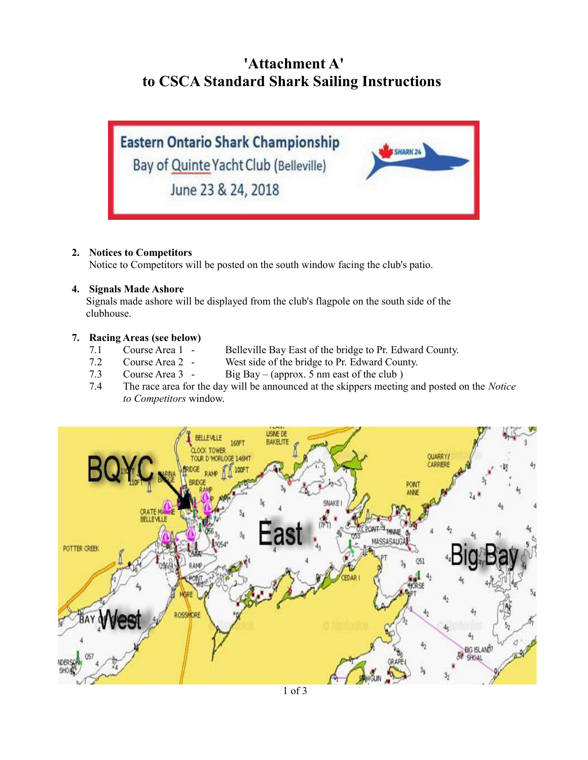# **'Attachment A' to CSCA Standard Shark Sailing Instructions**



#### **2. Notices to Competitors**

Notice to Competitors will be posted on the south window facing the club's patio.

#### **4. Signals Made Ashore**

 Signals made ashore will be displayed from the club's flagpole on the south side of the clubhouse.

#### **7. Racing Areas (see below)**

- 7.1 Course Area 1 Belleville Bay East of the bridge to Pr. Edward County.
- 7.2 Course Area 2 West side of the bridge to Pr. Edward County.
- 7.3 Course Area 3 Big Bay (approx. 5 nm east of the club )
- 7.4 The race area for the day will be announced at the skippers meeting and posted on the *Notice to Competitors* window.

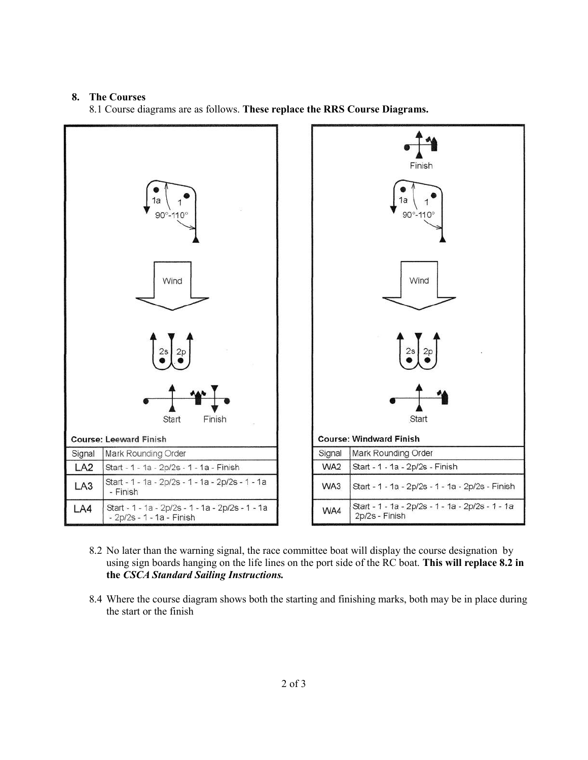#### **8. The Courses**

8.1 Course diagrams are as follows. **These replace the RRS Course Diagrams.**



- 8.2 No later than the warning signal, the race committee boat will display the course designation by using sign boards hanging on the life lines on the port side of the RC boat. **This will replace 8.2 in the** *CSCA Standard Sailing Instructions.*
- 8.4 Where the course diagram shows both the starting and finishing marks, both may be in place during the start or the finish